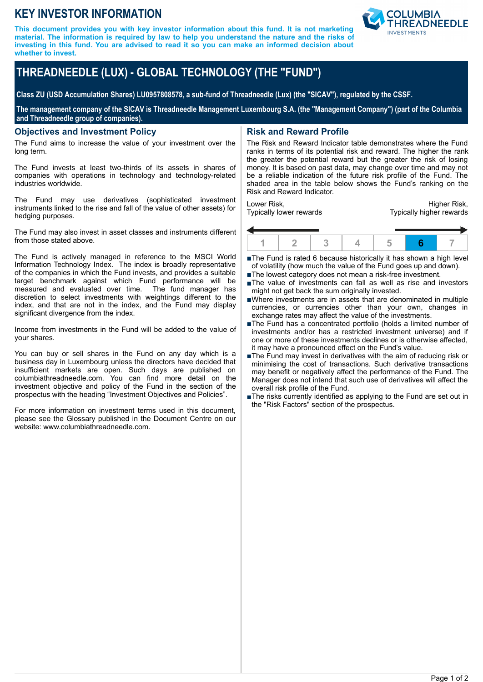# **KEY INVESTOR INFORMATION**

**This document provides you with key investor information about this fund. It is not marketing material. The information is required by law to help you understand the nature and the risks of investing in this fund. You are advised to read it so you can make an informed decision about whether to invest.**



# **THREADNEEDLE (LUX) - GLOBAL TECHNOLOGY (THE "FUND")**

**Class ZU (USD Accumulation Shares) LU0957808578, a sub-fund of Threadneedle (Lux) (the "SICAV"), regulated by the CSSF.**

**The management company of the SICAV is Threadneedle Management Luxembourg S.A. (the "Management Company") (part of the Columbia and Threadneedle group of companies).**

#### **Objectives and Investment Policy**

The Fund aims to increase the value of your investment over the long term.

The Fund invests at least two-thirds of its assets in shares of companies with operations in technology and technology-related industries worldwide.

The Fund may use derivatives (sophisticated investment instruments linked to the rise and fall of the value of other assets) for hedging purposes.

The Fund may also invest in asset classes and instruments different from those stated above.

The Fund is actively managed in reference to the MSCI World Information Technology Index. The index is broadly representative of the companies in which the Fund invests, and provides a suitable target benchmark against which Fund performance will be measured and evaluated over time. The fund manager has measured and evaluated over time. discretion to select investments with weightings different to the index, and that are not in the index, and the Fund may display significant divergence from the index.

Income from investments in the Fund will be added to the value of your shares.

You can buy or sell shares in the Fund on any day which is a business day in Luxembourg unless the directors have decided that insufficient markets are open. Such days are published on columbiathreadneedle.com. You can find more detail on the investment objective and policy of the Fund in the section of the prospectus with the heading "Investment Objectives and Policies".

For more information on investment terms used in this document, please see the Glossary published in the Document Centre on our website: www.columbiathreadneedle.com.

### **Risk and Reward Profile**

The Risk and Reward Indicator table demonstrates where the Fund ranks in terms of its potential risk and reward. The higher the rank the greater the potential reward but the greater the risk of losing money. It is based on past data, may change over time and may not be a reliable indication of the future risk profile of the Fund. The shaded area in the table below shows the Fund's ranking on the Risk and Reward Indicator.

Lower Risk, Typically lower rewards

Higher Risk, Typically higher rewards



■The Fund is rated 6 because historically it has shown a high level of volatility (how much the value of the Fund goes up and down).

- ■The lowest category does not mean a risk-free investment.
- nThe value of investments can fall as well as rise and investors might not get back the sum originally invested.
- nWhere investments are in assets that are denominated in multiple currencies, or currencies other than your own, changes in exchange rates may affect the value of the investments.
- ■The Fund has a concentrated portfolio (holds a limited number of investments and/or has a restricted investment universe) and if one or more of these investments declines or is otherwise affected, it may have a pronounced effect on the Fund's value.
- $\blacksquare$  The Fund may invest in derivatives with the aim of reducing risk or minimising the cost of transactions. Such derivative transactions may benefit or negatively affect the performance of the Fund. The Manager does not intend that such use of derivatives will affect the overall risk profile of the Fund.
- ■The risks currently identified as applying to the Fund are set out in the "Risk Factors" section of the prospectus.